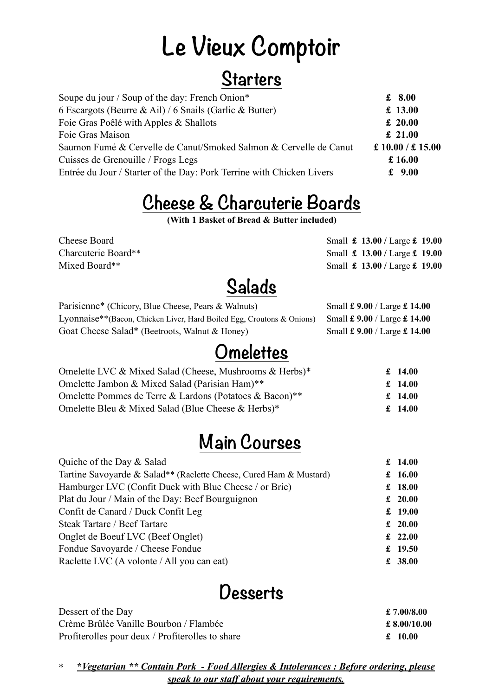# **Le Vieux Comptoir**

### **Starters**

| Soupe du jour / Soup of the day: French Onion*                        | £ $8.00$             |
|-----------------------------------------------------------------------|----------------------|
| 6 Escargots (Beurre & Ail) / 6 Snails (Garlic & Butter)               | £ 13.00              |
| Foie Gras Poêlé with Apples & Shallots                                | £ 20.00              |
| Foie Gras Maison                                                      | £ 21.00              |
| Saumon Fumé & Cervelle de Canut/Smoked Salmon & Cervelle de Canut     | £ $10.00 / $ £ 15.00 |
| Cuisses de Grenouille / Frogs Legs                                    | £ $16.00$            |
| Entrée du Jour / Starter of the Day: Pork Terrine with Chicken Livers | £ $9.00$             |
|                                                                       |                      |

## **Cheese & Charcuterie Boards**

**(With 1 Basket of Bread & Butter included)**

Cheese Board Small **£ 13.00** / Large **£ 19.00** Charcuterie Board\*\* Small **£ 13.00 /** Large **£ 19.00** Mixed Board\*\* Small **£ 13.00 /** Large **£ 19.00**

## **Salads**

| Parisienne* (Chicory, Blue Cheese, Pears & Walnuts)                   | Small £ 9.00 / Large £ 14.00                 |
|-----------------------------------------------------------------------|----------------------------------------------|
| Lyonnaise**(Bacon, Chicken Liver, Hard Boiled Egg, Croutons & Onions) | Small $\pounds$ 9.00 / Large $\pounds$ 14.00 |
| Goat Cheese Salad* (Beetroots, Walnut & Honey)                        | Small £ 9.00 / Large £ 14.00                 |

### **Omelettes**

| Omelette LVC & Mixed Salad (Cheese, Mushrooms & Herbs)* | £ 14.00 |
|---------------------------------------------------------|---------|
| Omelette Jambon & Mixed Salad (Parisian Ham)**          | £ 14.00 |
| Omelette Pommes de Terre & Lardons (Potatoes & Bacon)** | £ 14.00 |
| Omelette Bleu & Mixed Salad (Blue Cheese & Herbs)*      | £ 14.00 |

## **Main Courses**

| Quiche of the Day & Salad                                          | £ $14.00$ |
|--------------------------------------------------------------------|-----------|
| Tartine Savoyarde & Salad** (Raclette Cheese, Cured Ham & Mustard) | £ $16.00$ |
| Hamburger LVC (Confit Duck with Blue Cheese / or Brie)             | £ $18.00$ |
| Plat du Jour / Main of the Day: Beef Bourguignon                   | £ $20.00$ |
| Confit de Canard / Duck Confit Leg                                 | £ $19.00$ |
| Steak Tartare / Beef Tartare                                       | £ $20.00$ |
| Onglet de Boeuf LVC (Beef Onglet)                                  | £ 22.00   |
| Fondue Savoyarde / Cheese Fondue                                   | £ $19.50$ |
| Raclette LVC (A volonte / All you can eat)                         | £ 38.00   |
|                                                                    |           |

## **Desserts**

| Dessert of the Day                               | £ 7.00/8.00  |
|--------------------------------------------------|--------------|
| Crème Brûlée Vanille Bourbon / Flambée           | £ 8.00/10.00 |
| Profiterolles pour deux / Profiterolles to share | £ 10.00      |

\* **\****Vegetarian \*\* Contain Pork - Food Allergies & Intolerances : Before ordering, please speak to our staff about your requirements.*